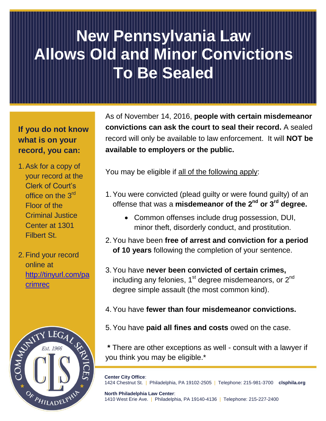# **New Pennsylvania Law Allows Old and Minor Convictions To Be Sealed**

## **If you do not know what is on your record, you can:**

- 1.Ask for a copy of your record at the Clerk of Court's office on the 3<sup>rd</sup> Floor of the Criminal Justice Center at 1301 Filbert St.
- 2.Find your record online at [http://tinyurl.com/pa](http://tinyurl.com/pacrimrec) [crimrec](http://tinyurl.com/pacrimrec)



As of November 14, 2016, **people with certain misdemeanor convictions can ask the court to seal their record.** A sealed record will only be available to law enforcement. It will **NOT be available to employers or the public.**

You may be eligible if all of the following apply:

- 1.You were convicted (plead guilty or were found guilty) of an offense that was a **misdemeanor of the 2nd or 3rd degree.**
	- Common offenses include drug possession, DUI, minor theft, disorderly conduct, and prostitution.
- 2.You have been **free of arrest and conviction for a period of 10 years** following the completion of your sentence.
- 3.You have **never been convicted of certain crimes,**  including any felonies,  $1<sup>st</sup>$  degree misdemeanors, or  $2<sup>nd</sup>$ degree simple assault (the most common kind).
- 4.You have **fewer than four misdemeanor convictions.**
- 5.You have **paid all fines and costs** owed on the case.

**\*** There are other exceptions as well - consult with a lawyer if you think you may be eligible.\*

**Center City Office**: 1424 Chestnut St. | Philadelphia, PA 19102-2505 | Telephone: 215-981-3700 **clsphila.org**

**North Philadelphia Law Center**: 1410 West Erie Ave. | Philadelphia, PA 19140-4136 | Telephone: 215-227-2400